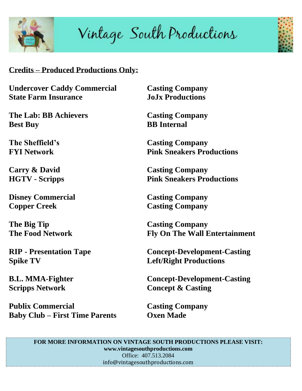

Vintage South Productions



## **Credits – Produced Productions Only:**

**Undercover Caddy Commercial Casting Company State Farm Insurance Manufacture Joseph State Farm Insurance Joseph Joseph State Productions** 

**The Lab: BB Achievers** Casting Company **Best Buy BB Internal** 

**Disney Commercial Casting Company Copper Creek Casting Company** 

**The Big Tip Casting Company** 

**Spike TV Left/Right Productions** 

**Publix Commercial Casting Company Baby Club – First Time Parents Oxen Made**

**The Sheffield's** Casting Company **FYI Network Pink Sneakers Productions** 

**Carry & David Casting Company HGTV - Scripps Pink Sneakers Productions**

**The Food Network Fly On The Wall Entertainment**

**RIP - Presentation Tape Concept-Development-Casting**

**B.L. MMA-Fighter Concept-Development-Casting Scripps Network Concept & Casting** 

**FOR MORE INFORMATION ON VINTAGE SOUTH PRODUCTIONS PLEASE VISIT: www.vintagesouthproductions.com** Office: 407.513.2084 info@vintagesouthproductions.com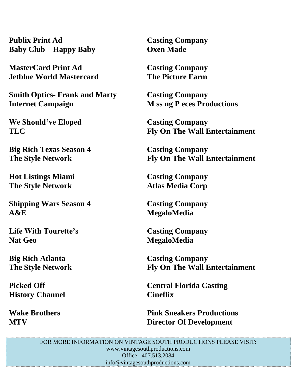**Publix Print Ad Casting Company Baby Club – Happy Baby Oxen Made**

**MasterCard Print Ad Casting Company Jetblue World Mastercard The Picture Farm**

**Smith Optics- Frank and Marty Casting Company Internet Campaign M** ss ng P eces Productions

**We Should've Eloped Casting Company**

**Big Rich Texas Season 4 Casting Company**

**Hot Listings Miami Casting Company The Style Network Atlas Media Corp**

**Shipping Wars Season 4 Casting Company A&E MegaloMedia**

Life With Tourette's Casting Company **Nat Geo** MegaloMedia

**History Channel Cineflix**

**TLC Fly On The Wall Entertainment**

**The Style Network Fly On The Wall Entertainment**

**Big Rich Atlanta** Casting Company **The Style Network Fly On The Wall Entertainment**

**Picked Off Central Florida Casting** 

**Wake Brothers Community Pink Sneakers Productions MTV Director Of Development**

> FOR MORE INFORMATION ON VINTAGE SOUTH PRODUCTIONS PLEASE VISIT: www.vintagesouthproductions.com Office: 407.513.2084 info@vintagesouthproductions.com